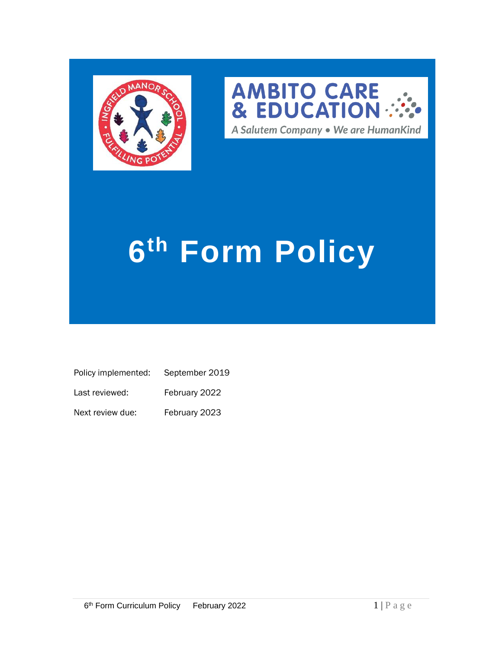



# **6 th Form Policy**

| Policy implemented: | September 2019 |
|---------------------|----------------|
| Last reviewed:      | February 2022  |

Next review due: February 2023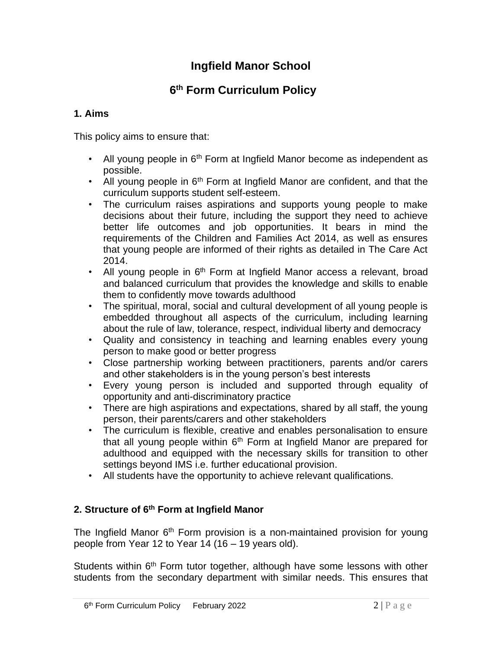# **Ingfield Manor School**

#### **6 th Form Curriculum Policy**

### **1. Aims**

This policy aims to ensure that:

- All young people in  $6<sup>th</sup>$  Form at Ingfield Manor become as independent as possible.
- All young people in  $6<sup>th</sup>$  Form at Ingfield Manor are confident, and that the curriculum supports student self-esteem.
- The curriculum raises aspirations and supports young people to make decisions about their future, including the support they need to achieve better life outcomes and job opportunities. It bears in mind the requirements of the Children and Families Act 2014, as well as ensures that young people are informed of their rights as detailed in The Care Act 2014.
- All young people in  $6<sup>th</sup>$  Form at Ingfield Manor access a relevant, broad and balanced curriculum that provides the knowledge and skills to enable them to confidently move towards adulthood
- The spiritual, moral, social and cultural development of all young people is embedded throughout all aspects of the curriculum, including learning about the rule of law, tolerance, respect, individual liberty and democracy
- Quality and consistency in teaching and learning enables every young person to make good or better progress
- Close partnership working between practitioners, parents and/or carers and other stakeholders is in the young person's best interests
- Every young person is included and supported through equality of opportunity and anti-discriminatory practice
- There are high aspirations and expectations, shared by all staff, the young person, their parents/carers and other stakeholders
- The curriculum is flexible, creative and enables personalisation to ensure that all young people within  $6<sup>th</sup>$  Form at Ingfield Manor are prepared for adulthood and equipped with the necessary skills for transition to other settings beyond IMS i.e. further educational provision.
- All students have the opportunity to achieve relevant qualifications.

# **2. Structure of 6 th Form at Ingfield Manor**

The Ingfield Manor 6<sup>th</sup> Form provision is a non-maintained provision for young people from Year 12 to Year 14 (16 – 19 years old).

Students within 6<sup>th</sup> Form tutor together, although have some lessons with other students from the secondary department with similar needs. This ensures that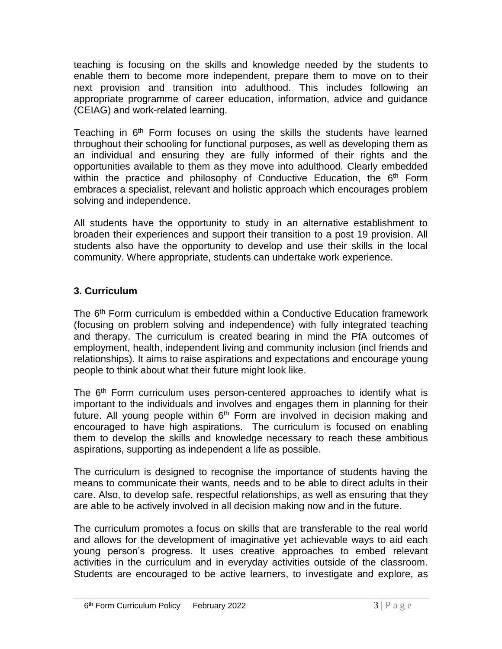teaching is focusing on the skills and knowledge needed by the students to enable them to become more independent, prepare them to move on to their next provision and transition into adulthood. This includes following an appropriate programme of career education, information, advice and guidance (CEIAG) and work-related learning.

Teaching in  $6<sup>th</sup>$  Form focuses on using the skills the students have learned throughout their schooling for functional purposes, as well as developing them as an individual and ensuring they are fully informed of their rights and the opportunities available to them as they move into adulthood. Clearly embedded within the practice and philosophy of Conductive Education, the 6<sup>th</sup> Form embraces a specialist, relevant and holistic approach which encourages problem solving and independence.

All students have the opportunity to study in an alternative establishment to broaden their experiences and support their transition to a post 19 provision. All students also have the opportunity to develop and use their skills in the local community. Where appropriate, students can undertake work experience.

# **3. Curriculum**

The 6<sup>th</sup> Form curriculum is embedded within a Conductive Education framework (focusing on problem solving and independence) with fully integrated teaching and therapy. The curriculum is created bearing in mind the PfA outcomes of employment, health, independent living and community inclusion (incl friends and relationships). It aims to raise aspirations and expectations and encourage young people to think about what their future might look like.

The 6<sup>th</sup> Form curriculum uses person-centered approaches to identify what is important to the individuals and involves and engages them in planning for their future. All young people within  $6<sup>th</sup>$  Form are involved in decision making and encouraged to have high aspirations. The curriculum is focused on enabling them to develop the skills and knowledge necessary to reach these ambitious aspirations, supporting as independent a life as possible.

The curriculum is designed to recognise the importance of students having the means to communicate their wants, needs and to be able to direct adults in their care. Also, to develop safe, respectful relationships, as well as ensuring that they are able to be actively involved in all decision making now and in the future.

The curriculum promotes a focus on skills that are transferable to the real world and allows for the development of imaginative yet achievable ways to aid each young person's progress. It uses creative approaches to embed relevant activities in the curriculum and in everyday activities outside of the classroom. Students are encouraged to be active learners, to investigate and explore, as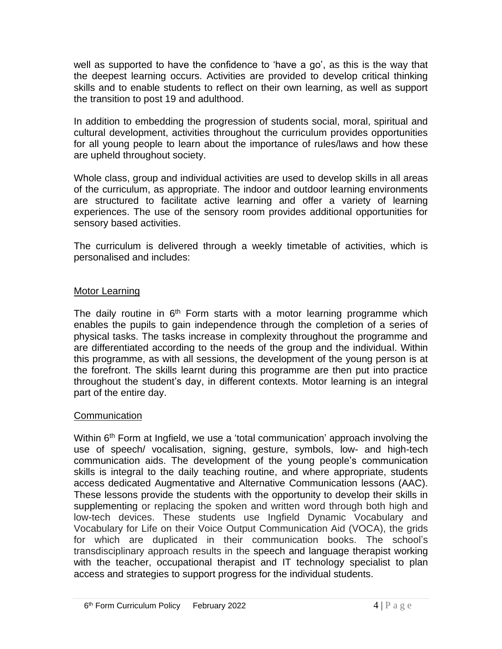well as supported to have the confidence to 'have a go', as this is the way that the deepest learning occurs. Activities are provided to develop critical thinking skills and to enable students to reflect on their own learning, as well as support the transition to post 19 and adulthood.

In addition to embedding the progression of students social, moral, spiritual and cultural development, activities throughout the curriculum provides opportunities for all young people to learn about the importance of rules/laws and how these are upheld throughout society.

Whole class, group and individual activities are used to develop skills in all areas of the curriculum, as appropriate. The indoor and outdoor learning environments are structured to facilitate active learning and offer a variety of learning experiences. The use of the sensory room provides additional opportunities for sensory based activities.

The curriculum is delivered through a weekly timetable of activities, which is personalised and includes:

#### Motor Learning

The daily routine in 6<sup>th</sup> Form starts with a motor learning programme which enables the pupils to gain independence through the completion of a series of physical tasks. The tasks increase in complexity throughout the programme and are differentiated according to the needs of the group and the individual. Within this programme, as with all sessions, the development of the young person is at the forefront. The skills learnt during this programme are then put into practice throughout the student's day, in different contexts. Motor learning is an integral part of the entire day.

#### **Communication**

Within 6<sup>th</sup> Form at Ingfield, we use a 'total communication' approach involving the use of speech/ vocalisation, signing, gesture, symbols, low- and high-tech communication aids. The development of the young people's communication skills is integral to the daily teaching routine, and where appropriate, students access dedicated Augmentative and Alternative Communication lessons (AAC). These lessons provide the students with the opportunity to develop their skills in supplementing or replacing the spoken and written word through both high and low-tech devices. These students use Ingfield Dynamic Vocabulary and Vocabulary for Life on their Voice Output Communication Aid (VOCA), the grids for which are duplicated in their communication books. The school's transdisciplinary approach results in the speech and language therapist working with the teacher, occupational therapist and IT technology specialist to plan access and strategies to support progress for the individual students.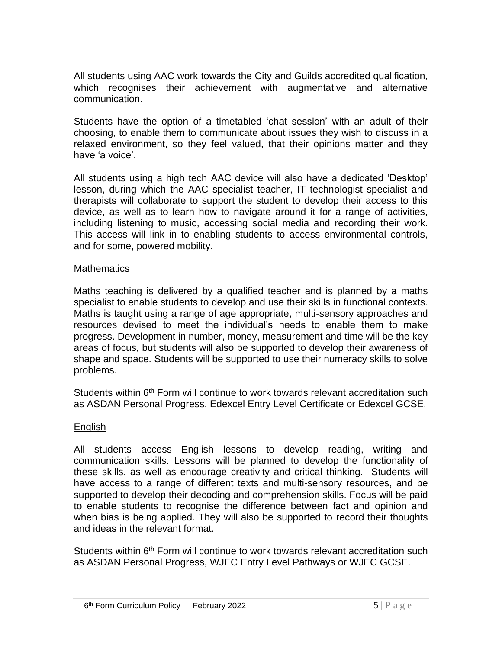All students using AAC work towards the City and Guilds accredited qualification, which recognises their achievement with augmentative and alternative communication.

Students have the option of a timetabled 'chat session' with an adult of their choosing, to enable them to communicate about issues they wish to discuss in a relaxed environment, so they feel valued, that their opinions matter and they have 'a voice'.

All students using a high tech AAC device will also have a dedicated 'Desktop' lesson, during which the AAC specialist teacher, IT technologist specialist and therapists will collaborate to support the student to develop their access to this device, as well as to learn how to navigate around it for a range of activities, including listening to music, accessing social media and recording their work. This access will link in to enabling students to access environmental controls, and for some, powered mobility.

#### **Mathematics**

Maths teaching is delivered by a qualified teacher and is planned by a maths specialist to enable students to develop and use their skills in functional contexts. Maths is taught using a range of age appropriate, multi-sensory approaches and resources devised to meet the individual's needs to enable them to make progress. Development in number, money, measurement and time will be the key areas of focus, but students will also be supported to develop their awareness of shape and space. Students will be supported to use their numeracy skills to solve problems.

Students within 6<sup>th</sup> Form will continue to work towards relevant accreditation such as ASDAN Personal Progress, Edexcel Entry Level Certificate or Edexcel GCSE.

#### English

All students access English lessons to develop reading, writing and communication skills. Lessons will be planned to develop the functionality of these skills, as well as encourage creativity and critical thinking. Students will have access to a range of different texts and multi-sensory resources, and be supported to develop their decoding and comprehension skills. Focus will be paid to enable students to recognise the difference between fact and opinion and when bias is being applied. They will also be supported to record their thoughts and ideas in the relevant format.

Students within 6<sup>th</sup> Form will continue to work towards relevant accreditation such as ASDAN Personal Progress, WJEC Entry Level Pathways or WJEC GCSE.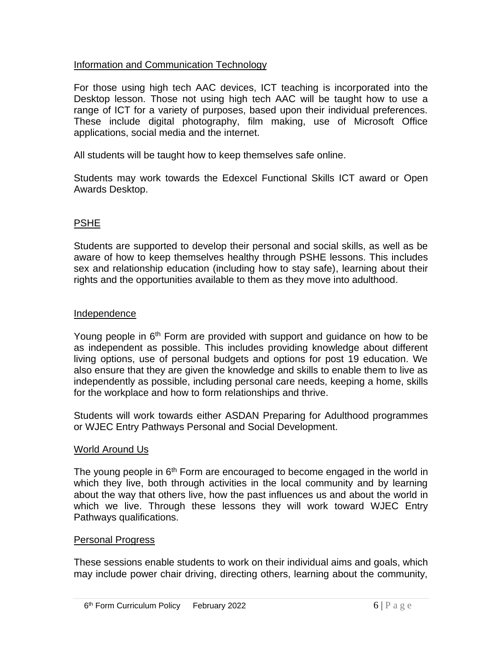#### Information and Communication Technology

For those using high tech AAC devices, ICT teaching is incorporated into the Desktop lesson. Those not using high tech AAC will be taught how to use a range of ICT for a variety of purposes, based upon their individual preferences. These include digital photography, film making, use of Microsoft Office applications, social media and the internet.

All students will be taught how to keep themselves safe online.

Students may work towards the Edexcel Functional Skills ICT award or Open Awards Desktop.

### PSHE

Students are supported to develop their personal and social skills, as well as be aware of how to keep themselves healthy through PSHE lessons. This includes sex and relationship education (including how to stay safe), learning about their rights and the opportunities available to them as they move into adulthood.

#### Independence

Young people in  $6<sup>th</sup>$  Form are provided with support and guidance on how to be as independent as possible. This includes providing knowledge about different living options, use of personal budgets and options for post 19 education. We also ensure that they are given the knowledge and skills to enable them to live as independently as possible, including personal care needs, keeping a home, skills for the workplace and how to form relationships and thrive.

Students will work towards either ASDAN Preparing for Adulthood programmes or WJEC Entry Pathways Personal and Social Development.

#### World Around Us

The young people in  $6<sup>th</sup>$  Form are encouraged to become engaged in the world in which they live, both through activities in the local community and by learning about the way that others live, how the past influences us and about the world in which we live. Through these lessons they will work toward WJEC Entry Pathways qualifications.

#### Personal Progress

These sessions enable students to work on their individual aims and goals, which may include power chair driving, directing others, learning about the community,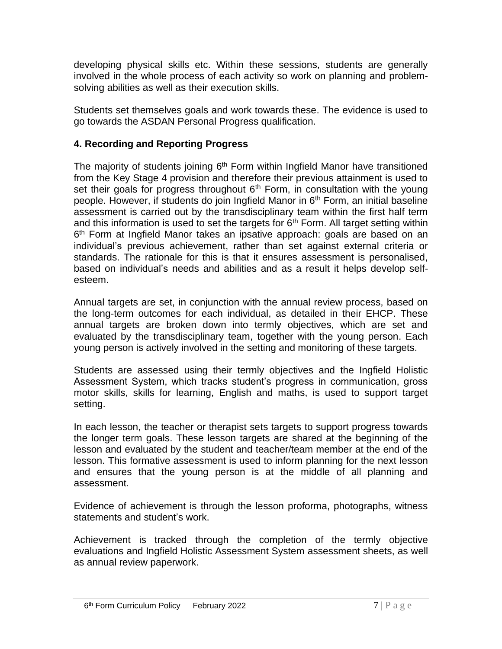developing physical skills etc. Within these sessions, students are generally involved in the whole process of each activity so work on planning and problemsolving abilities as well as their execution skills.

Students set themselves goals and work towards these. The evidence is used to go towards the ASDAN Personal Progress qualification.

# **4. Recording and Reporting Progress**

The majority of students joining  $6<sup>th</sup>$  Form within Ingfield Manor have transitioned from the Key Stage 4 provision and therefore their previous attainment is used to set their goals for progress throughout  $6<sup>th</sup>$  Form, in consultation with the young people. However, if students do join Ingfield Manor in  $6<sup>th</sup>$  Form, an initial baseline assessment is carried out by the transdisciplinary team within the first half term and this information is used to set the targets for  $6<sup>th</sup>$  Form. All target setting within 6<sup>th</sup> Form at Ingfield Manor takes an ipsative approach: goals are based on an individual's previous achievement, rather than set against external criteria or standards. The rationale for this is that it ensures assessment is personalised, based on individual's needs and abilities and as a result it helps develop selfesteem.

Annual targets are set, in conjunction with the annual review process, based on the long-term outcomes for each individual, as detailed in their EHCP. These annual targets are broken down into termly objectives, which are set and evaluated by the transdisciplinary team, together with the young person. Each young person is actively involved in the setting and monitoring of these targets.

Students are assessed using their termly objectives and the Ingfield Holistic Assessment System, which tracks student's progress in communication, gross motor skills, skills for learning, English and maths, is used to support target setting.

In each lesson, the teacher or therapist sets targets to support progress towards the longer term goals. These lesson targets are shared at the beginning of the lesson and evaluated by the student and teacher/team member at the end of the lesson. This formative assessment is used to inform planning for the next lesson and ensures that the young person is at the middle of all planning and assessment.

Evidence of achievement is through the lesson proforma, photographs, witness statements and student's work.

Achievement is tracked through the completion of the termly objective evaluations and Ingfield Holistic Assessment System assessment sheets, as well as annual review paperwork.